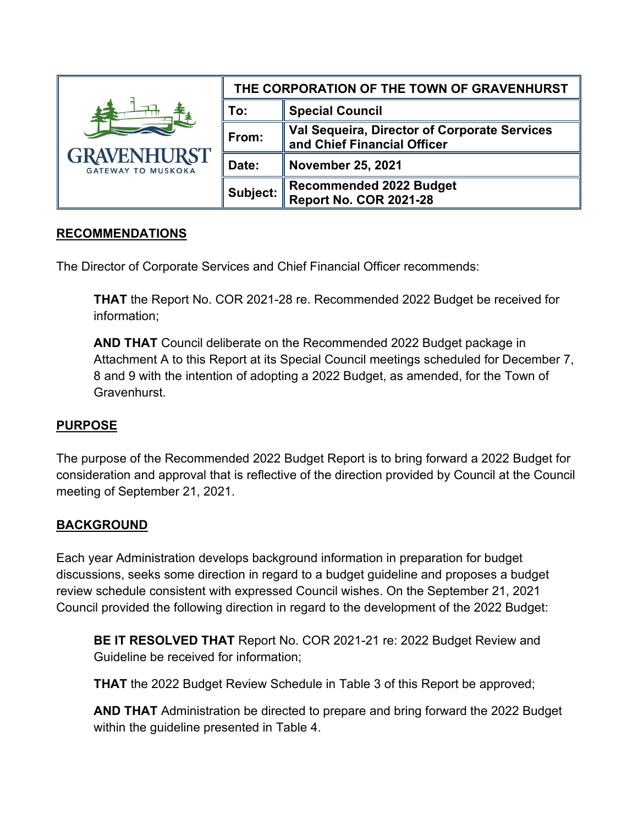| <b>GRAVENHURST</b><br><b>GATEWAY TO MUSKOKA</b> | THE CORPORATION OF THE TOWN OF GRAVENHURST |                                                                             |
|-------------------------------------------------|--------------------------------------------|-----------------------------------------------------------------------------|
|                                                 | To:                                        | <b>Special Council</b>                                                      |
|                                                 | From:                                      | Val Sequeira, Director of Corporate Services<br>and Chief Financial Officer |
|                                                 | Date:                                      | <b>November 25, 2021</b>                                                    |
|                                                 | Subject:                                   | <b>Recommended 2022 Budget</b><br><b>Report No. COR 2021-28</b>             |

#### **RECOMMENDATIONS**

The Director of Corporate Services and Chief Financial Officer recommends:

**THAT** the Report No. COR 2021-28 re. Recommended 2022 Budget be received for information;

**AND THAT** Council deliberate on the Recommended 2022 Budget package in Attachment A to this Report at its Special Council meetings scheduled for December 7, 8 and 9 with the intention of adopting a 2022 Budget, as amended, for the Town of Gravenhurst.

# **PURPOSE**

The purpose of the Recommended 2022 Budget Report is to bring forward a 2022 Budget for consideration and approval that is reflective of the direction provided by Council at the Council meeting of September 21, 2021.

# **BACKGROUND**

Each year Administration develops background information in preparation for budget discussions, seeks some direction in regard to a budget guideline and proposes a budget review schedule consistent with expressed Council wishes. On the September 21, 2021 Council provided the following direction in regard to the development of the 2022 Budget:

**BE IT RESOLVED THAT** Report No. COR 2021-21 re: 2022 Budget Review and Guideline be received for information;

**THAT** the 2022 Budget Review Schedule in Table 3 of this Report be approved;

**AND THAT** Administration be directed to prepare and bring forward the 2022 Budget within the guideline presented in Table 4.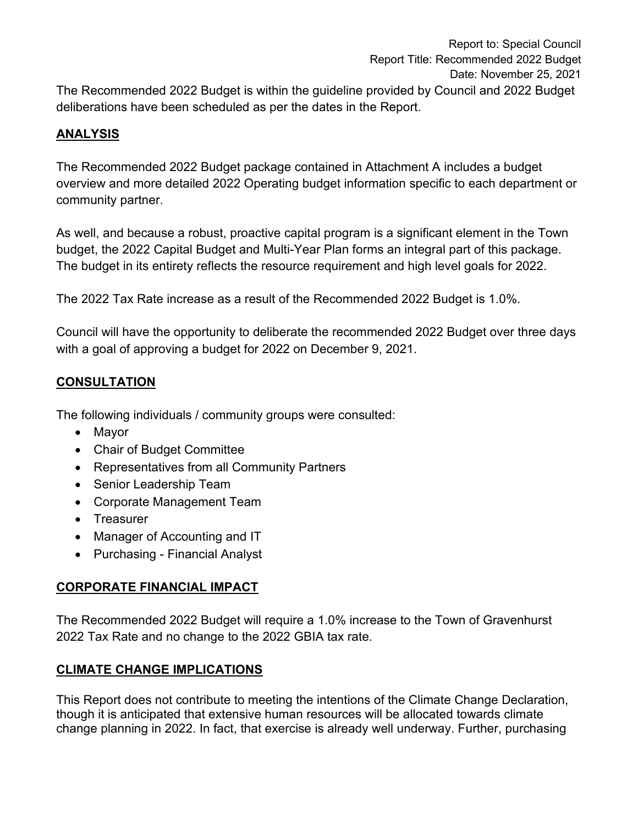# **ANALYSIS**

The Recommended 2022 Budget package contained in Attachment A includes a budget overview and more detailed 2022 Operating budget information specific to each department or community partner.

As well, and because a robust, proactive capital program is a significant element in the Town budget, the 2022 Capital Budget and Multi-Year Plan forms an integral part of this package. The budget in its entirety reflects the resource requirement and high level goals for 2022.

The 2022 Tax Rate increase as a result of the Recommended 2022 Budget is 1.0%.

Council will have the opportunity to deliberate the recommended 2022 Budget over three days with a goal of approving a budget for 2022 on December 9, 2021.

# **CONSULTATION**

The following individuals / community groups were consulted:

- Mayor
- Chair of Budget Committee
- Representatives from all Community Partners
- Senior Leadership Team
- Corporate Management Team
- Treasurer
- Manager of Accounting and IT
- Purchasing Financial Analyst

# **CORPORATE FINANCIAL IMPACT**

The Recommended 2022 Budget will require a 1.0% increase to the Town of Gravenhurst 2022 Tax Rate and no change to the 2022 GBIA tax rate.

# **CLIMATE CHANGE IMPLICATIONS**

This Report does not contribute to meeting the intentions of the Climate Change Declaration, though it is anticipated that extensive human resources will be allocated towards climate change planning in 2022. In fact, that exercise is already well underway. Further, purchasing